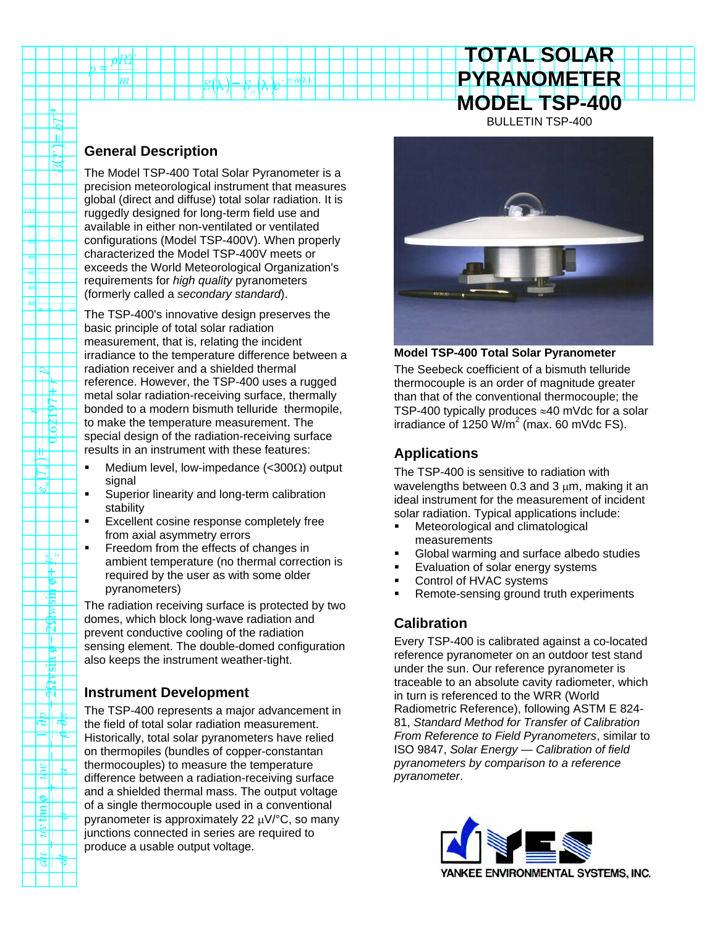# **TOTAL SOLAR PYRANOMETER MODEL TSP-400** BULLETIN TSP-400

#### **General Description**

TÈ

 $\mathbb{R}$ 

₩

 $\mathbb{R}^3$ 

rk × ₩ ۴  $\frac{1}{2}$ 

 $\boldsymbol{\kappa}$ т **b tris** 

 $\frac{1}{2}$ 

ত|ৰ −u

 $\|\hat{\mathbf{z}}\|$ 

أأه gl Σť बा

डाा

The Model TSP-400 Total Solar Pyranometer is a precision meteorological instrument that measures global (direct and diffuse) total solar radiation. It is ruggedly designed for long-term field use and available in either non-ventilated or ventilated configurations (Model TSP-400V). When properly characterized the Model TSP-400V meets or exceeds the World Meteorological Organization's requirements for *high quality* pyranometers (formerly called a *secondary standard*).

 $\sqrt{2}$   $\sigma$   $\Delta$   $\sqrt{2-n\delta(\lambda)}$ 

The TSP-400's innovative design preserves the basic principle of total solar radiation measurement, that is, relating the incident irradiance to the temperature difference between a radiation receiver and a shielded thermal reference. However, the TSP-400 uses a rugged metal solar radiation-receiving surface, thermally bonded to a modern bismuth telluride thermopile, to make the temperature measurement. The special design of the radiation-receiving surface results in an instrument with these features:

- Medium level, low-impedance (<300Ω) output signal
- Superior linearity and long-term calibration stability
- Excellent cosine response completely free from axial asymmetry errors
- Freedom from the effects of changes in ambient temperature (no thermal correction is required by the user as with some older pyranometers)

The radiation receiving surface is protected by two domes, which block long-wave radiation and prevent conductive cooling of the radiation sensing element. The double-domed configuration also keeps the instrument weather-tight.

#### **Instrument Development**

The TSP-400 represents a major advancement in the field of total solar radiation measurement. Historically, total solar pyranometers have relied on thermopiles (bundles of copper-constantan thermocouples) to measure the temperature difference between a radiation-receiving surface and a shielded thermal mass. The output voltage of a single thermocouple used in a conventional pyranometer is approximately 22 μV/°C, so many junctions connected in series are required to produce a usable output voltage.



**Model TSP-400 Total Solar Pyranometer**

The Seebeck coefficient of a bismuth telluride thermocouple is an order of magnitude greater than that of the conventional thermocouple; the TSP-400 typically produces ≈40 mVdc for a solar irradiance of 1250 W/m<sup>2</sup> (max. 60 mVdc FS).

# **Applications**

The TSP-400 is sensitive to radiation with wavelengths between 0.3 and 3  $\mu$ m, making it an ideal instrument for the measurement of incident solar radiation. Typical applications include:

- **Meteorological and climatological** measurements
- Global warming and surface albedo studies
- **Evaluation of solar energy systems**
- **Control of HVAC systems**
- Remote-sensing ground truth experiments

## **Calibration**

Every TSP-400 is calibrated against a co-located reference pyranometer on an outdoor test stand under the sun. Our reference pyranometer is traceable to an absolute cavity radiometer, which in turn is referenced to the WRR (World Radiometric Reference), following ASTM E 824- 81, *Standard Method for Transfer of Calibration From Reference to Field Pyranometers*, similar to ISO 9847, *Solar Energy — Calibration of field pyranometers by comparison to a reference pyranometer*.